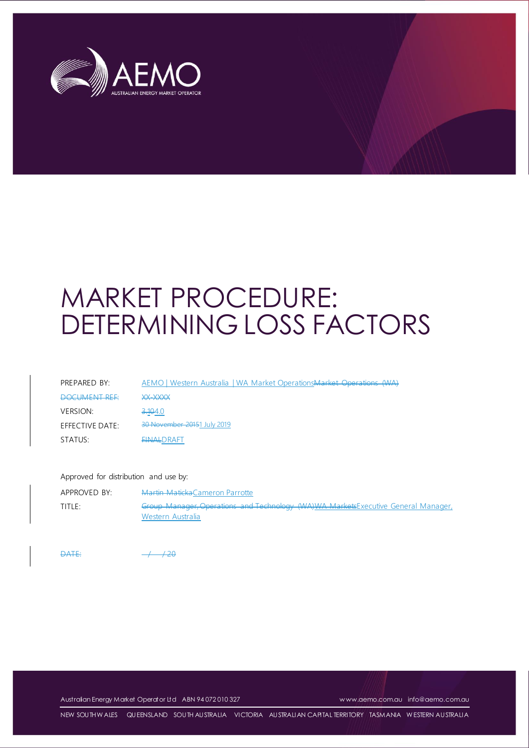

# MARKET PROCEDURE: DETERMINING LOSS FACTORS

| PREPARED BY:    | AEMO   Western Australia   WA Market Operations Market Operations (WA) |
|-----------------|------------------------------------------------------------------------|
| DOCLIMENT DEE   | <b>VV_VVVV</b><br>بالتربيان وبالتباريخ والمستحيلة والمراج              |
| <b>VERSION:</b> | <del>3.10</del> 4.0                                                    |
| EFFECTIVE DATE: | 30 November 20151 July 2019                                            |
| STATUS:         | <b>FINALDRAFT</b>                                                      |

#### Approved for distribution and use by:

| APPROVED BY: | <b>Martin Maticka</b> Cameron Parrotte                                                                 |
|--------------|--------------------------------------------------------------------------------------------------------|
| TITLE:       | Group Manager, Operations and Technology (WA)WA MarketsExecutive General Manager,<br>Western Australia |

 $\overline{DATE}$ 

Australian Energy Market Operator Ltd ABN 94 072 010 327 [w ww.aemo.com.au](http://www.aemo.com.au/) [info@aemo.com.au](mailto:info@aemo.com.au)

NEW SOUTH W ALES QUEENSLAND SOUTH AUSTRALIA VICTORIA AUSTRALIAN CAPITAL TERRITORY TASMANIA W ESTERN AUSTRALIA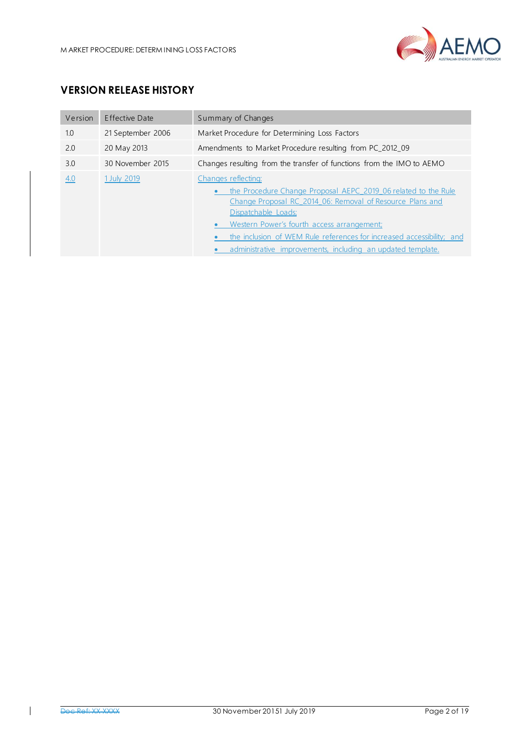

# **VERSION RELEASE HISTORY**

| Version | Effective Date    | Summary of Changes                                                                                                                                                                                                                                                                                                                                                           |  |  |
|---------|-------------------|------------------------------------------------------------------------------------------------------------------------------------------------------------------------------------------------------------------------------------------------------------------------------------------------------------------------------------------------------------------------------|--|--|
| 1.0     | 21 September 2006 | Market Procedure for Determining Loss Factors                                                                                                                                                                                                                                                                                                                                |  |  |
| 2.0     | 20 May 2013       | Amendments to Market Procedure resulting from PC_2012_09                                                                                                                                                                                                                                                                                                                     |  |  |
| 3.0     | 30 November 2015  | Changes resulting from the transfer of functions from the IMO to AEMO                                                                                                                                                                                                                                                                                                        |  |  |
| 4.0     | 1 July 2019       | Changes reflecting:<br>the Procedure Change Proposal AEPC 2019 06 related to the Rule<br>Change Proposal RC 2014 06: Removal of Resource Plans and<br>Dispatchable Loads;<br>Western Power's fourth access arrangement;<br>$\bullet$<br>the inclusion of WEM Rule references for increased accessibility; and<br>administrative improvements, including an updated template. |  |  |

 $\overline{1}$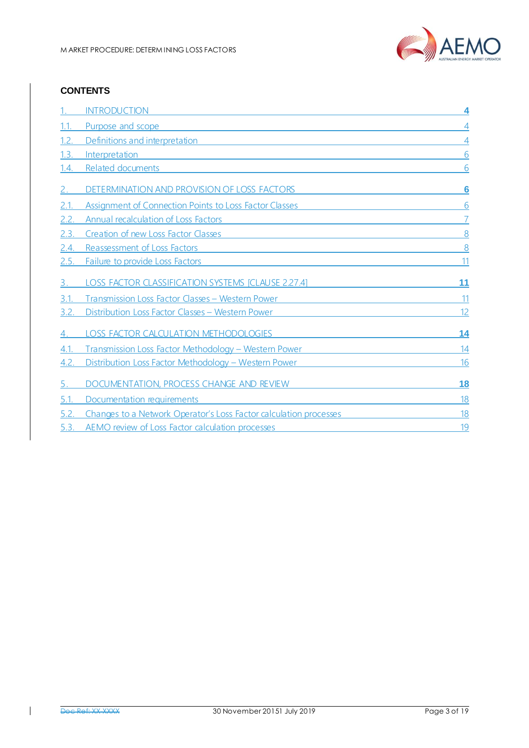

## **CONTENTS**

|             | <b>INTRODUCTION</b>                                               | 4  |
|-------------|-------------------------------------------------------------------|----|
| 1.1.        | Purpose and scope                                                 | 4  |
| 1.2.        | Definitions and interpretation                                    | 4  |
| 1.3.        | Interpretation                                                    | 6  |
| 1.4.        | Related documents                                                 | 6  |
|             | DETERMINATION AND PROVISION OF LOSS FACTORS                       | 6  |
| 2.1.        | Assignment of Connection Points to Loss Factor Classes            | 6  |
| 2.2.        | <b>Annual recalculation of Loss Factors</b>                       |    |
| 2.3.        | Creation of new Loss Factor Classes                               | 8  |
| 2.4.        | Reassessment of Loss Factors                                      | 8  |
| <u>2.5.</u> | Failure to provide Loss Factors                                   | 11 |
|             | LOSS FACTOR CLASSIFICATION SYSTEMS [CLAUSE 2.27.4]                | 11 |
| 3.1         | Transmission Loss Factor Classes - Western Power                  | 11 |
| 3.2.        | Distribution Loss Factor Classes - Western Power                  | 12 |
|             | LOSS FACTOR CALCULATION METHODOLOGIES                             | 14 |
| 4.1.        | Transmission Loss Factor Methodology - Western Power              | 14 |
| 4.2.        | Distribution Loss Factor Methodology - Western Power              | 16 |
|             | DOCUMENTATION, PROCESS CHANGE AND REVIEW                          | 18 |
| 5.1.        | Documentation requirements                                        | 18 |
| 5.2.        | Changes to a Network Operator's Loss Factor calculation processes | 18 |
| 5.3.        | AEMO review of Loss Factor calculation processes                  | 19 |

 $\mathbf I$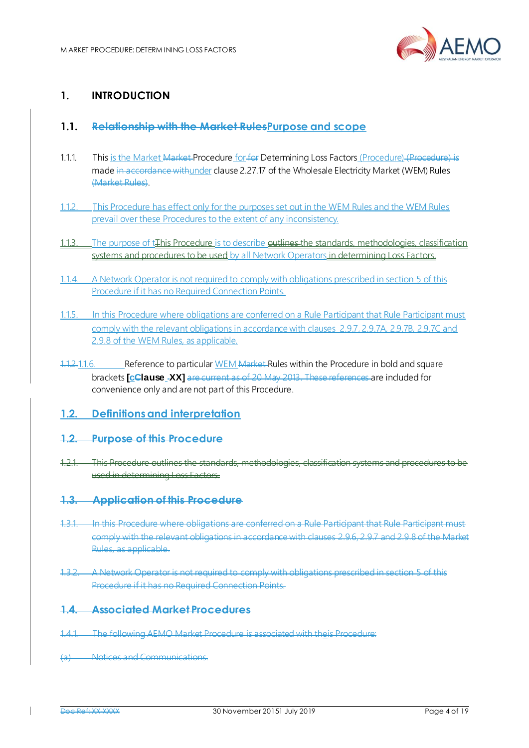<span id="page-3-1"></span>

# <span id="page-3-0"></span>**1. INTRODUCTION**

## **1.1. Relationship with the Market RulesPurpose and scope**

- 1.1.1. This is the Market Market Procedure for for Determining Loss Factors (Procedure) (Procedure) is made in accordance with under clause 2.27.17 of the Wholesale Electricity Market (WEM) Rules (Market Rules).
- 1.1.2. This Procedure has effect only for the purposes set out in the WEM Rules and the WEM Rules prevail over these Procedures to the extent of any inconsistency.
- 1.1.3. The purpose of t<sub>r</sub> This Procedure is to describe outlines the standards, methodologies, classification systems and procedures to be used by all Network Operators in determining Loss Factors.
- 1.1.4. A Network Operator is not required to comply with obligations prescribed in section 5 of this Procedure if it has no Required Connection Points.
- 1.1.5. In this Procedure where obligations are conferred on a Rule Participant that Rule Participant must comply with the relevant obligations in accordance with clauses 2.9.7, 2.9.7A, 2.9.7B, 2.9.7C and 2.9.8 of the WEM Rules, as applicable.
- 1.1.2.1.1.6. Reference to particular WEM Market Rules within the Procedure in bold and square brackets **[cClause XX]** are current as of 20 May 2013. These references are included for convenience only and are not part of this Procedure.
- <span id="page-3-2"></span>**1.2. Definitions and interpretation**
- **1.2. Purpose of this Procedure**
- 1.2.1. This Procedure outlines the standards, methodologies, classification systems and procedures to be used in determining Loss Factors.
- **1.3. Application of this Procedure**
- 1.3.1. In this Procedure where obligations are conferred on a Rule Participant that Rule Participant must comply with the relevant obligations in accordance with clauses 2.9.6, 2.9.7 and 2.9.8 of the Market Rules, as applicable.
- 1.3.2. A Network Operator is not required to comply with obligations prescribed in section 5 of this Procedure if it has no Required Connection Points.

#### **1.4. Associated Market Procedures**

- 1.4.1. The following AEMO Market Procedure is associated with theis Procedure:
- (a) Notices and Communications.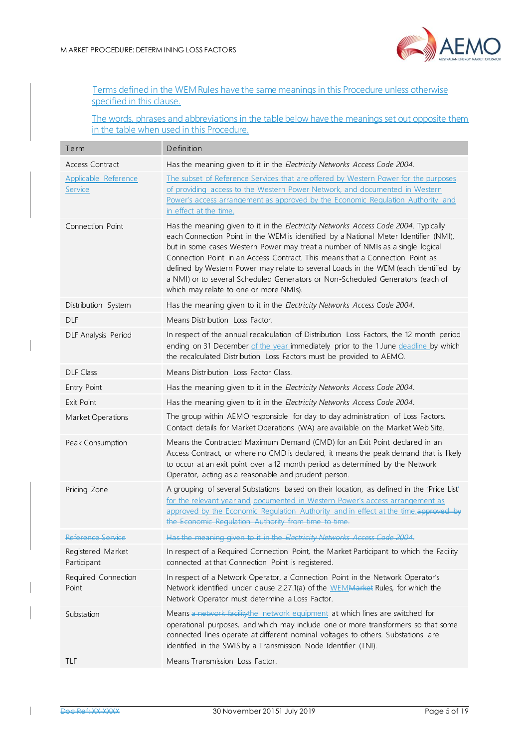

| Terms defined in the WEM Rules have the same meanings in this Procedure unless otherwise |  |  |  |
|------------------------------------------------------------------------------------------|--|--|--|
| specified in this clause.                                                                |  |  |  |

The words, phrases and abbreviations in the table below have the meanings set out opposite them in the table when used in this Procedure.

| Term                             | Definition                                                                                                                                                                                                                                                                                                                                                                                                                                                                                                                                                        |
|----------------------------------|-------------------------------------------------------------------------------------------------------------------------------------------------------------------------------------------------------------------------------------------------------------------------------------------------------------------------------------------------------------------------------------------------------------------------------------------------------------------------------------------------------------------------------------------------------------------|
| Access Contract                  | Has the meaning given to it in the Electricity Networks Access Code 2004.                                                                                                                                                                                                                                                                                                                                                                                                                                                                                         |
| Applicable Reference<br>Service  | The subset of Reference Services that are offered by Western Power for the purposes<br>of providing access to the Western Power Network, and documented in Western<br>Power's access arrangement as approved by the Economic Regulation Authority and<br>in effect at the time.                                                                                                                                                                                                                                                                                   |
| Connection Point                 | Has the meaning given to it in the Electricity Networks Access Code 2004. Typically<br>each Connection Point in the WEM is identified by a National Meter Identifier (NMI),<br>but in some cases Western Power may treat a number of NMIs as a single logical<br>Connection Point in an Access Contract. This means that a Connection Point as<br>defined by Western Power may relate to several Loads in the WEM (each identified by<br>a NMI) or to several Scheduled Generators or Non-Scheduled Generators (each of<br>which may relate to one or more NMIs). |
| Distribution System              | Has the meaning given to it in the Electricity Networks Access Code 2004.                                                                                                                                                                                                                                                                                                                                                                                                                                                                                         |
| <b>DLF</b>                       | Means Distribution Loss Factor.                                                                                                                                                                                                                                                                                                                                                                                                                                                                                                                                   |
| DLF Analysis Period              | In respect of the annual recalculation of Distribution Loss Factors, the 12 month period<br>ending on 31 December of the year immediately prior to the 1 June deadline by which<br>the recalculated Distribution Loss Factors must be provided to AEMO.                                                                                                                                                                                                                                                                                                           |
| <b>DLF Class</b>                 | Means Distribution Loss Factor Class.                                                                                                                                                                                                                                                                                                                                                                                                                                                                                                                             |
| Entry Point                      | Has the meaning given to it in the Electricity Networks Access Code 2004.                                                                                                                                                                                                                                                                                                                                                                                                                                                                                         |
| Exit Point                       | Has the meaning given to it in the Electricity Networks Access Code 2004.                                                                                                                                                                                                                                                                                                                                                                                                                                                                                         |
| Market Operations                | The group within AEMO responsible for day to day administration of Loss Factors.<br>Contact details for Market Operations (WA) are available on the Market Web Site.                                                                                                                                                                                                                                                                                                                                                                                              |
| Peak Consumption                 | Means the Contracted Maximum Demand (CMD) for an Exit Point declared in an<br>Access Contract, or where no CMD is declared, it means the peak demand that is likely<br>to occur at an exit point over a 12 month period as determined by the Network<br>Operator, acting as a reasonable and prudent person.                                                                                                                                                                                                                                                      |
| Pricing Zone                     | A grouping of several Substations based on their location, as defined in the 'Price List'<br>for the relevant year and documented in Western Power's access arrangement as<br>approved by the Economic Regulation Authority and in effect at the time approved by<br>the Economic Regulation Authority from time to time.                                                                                                                                                                                                                                         |
| Reference Service                | Has the meaning given to it in the Electricity Networks Access Code 2004.                                                                                                                                                                                                                                                                                                                                                                                                                                                                                         |
| Registered Market<br>Participant | In respect of a Required Connection Point, the Market Participant to which the Facility<br>connected at that Connection Point is registered.                                                                                                                                                                                                                                                                                                                                                                                                                      |
| Required Connection<br>Point     | In respect of a Network Operator, a Connection Point in the Network Operator's<br>Network identified under clause 2.27.1(a) of the WEMMarket Rules, for which the<br>Network Operator must determine a Loss Factor.                                                                                                                                                                                                                                                                                                                                               |
| Substation                       | Means a network facility the network equipment at which lines are switched for<br>operational purposes, and which may include one or more transformers so that some<br>connected lines operate at different nominal voltages to others. Substations are<br>identified in the SWIS by a Transmission Node Identifier (TNI).                                                                                                                                                                                                                                        |
| TLF                              | Means Transmission Loss Factor.                                                                                                                                                                                                                                                                                                                                                                                                                                                                                                                                   |

 $\mathsf{l}$ 

 $\overline{\phantom{a}}$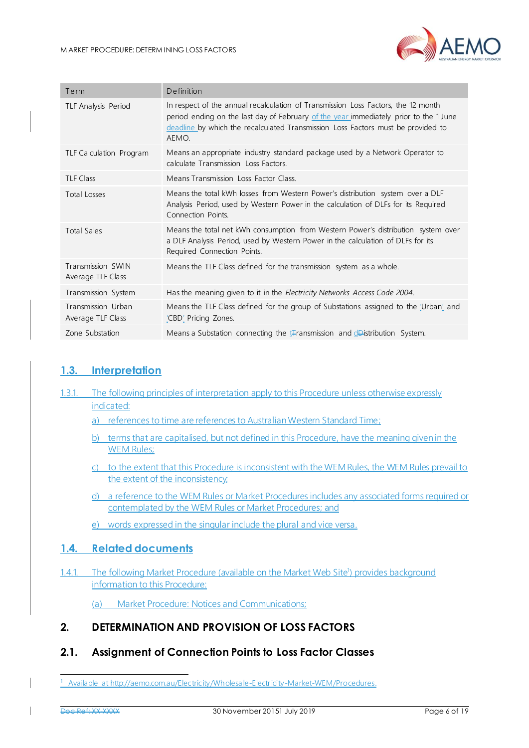

| Term                                    | Definition                                                                                                                                                                                                                                                              |
|-----------------------------------------|-------------------------------------------------------------------------------------------------------------------------------------------------------------------------------------------------------------------------------------------------------------------------|
| <b>TLF Analysis Period</b>              | In respect of the annual recalculation of Transmission Loss Factors, the 12 month<br>period ending on the last day of February of the year immediately prior to the 1 June<br>deadline by which the recalculated Transmission Loss Factors must be provided to<br>AEMO. |
| TLF Calculation Program                 | Means an appropriate industry standard package used by a Network Operator to<br>calculate Transmission Loss Factors.                                                                                                                                                    |
| <b>TLF Class</b>                        | Means Transmission Loss Factor Class.                                                                                                                                                                                                                                   |
| Total Losses                            | Means the total kWh losses from Western Power's distribution system over a DLF<br>Analysis Period, used by Western Power in the calculation of DLFs for its Required<br>Connection Points.                                                                              |
| <b>Total Sales</b>                      | Means the total net kWh consumption from Western Power's distribution system over<br>a DLF Analysis Period, used by Western Power in the calculation of DLFs for its<br>Required Connection Points.                                                                     |
| Transmission SWIN<br>Average TLF Class  | Means the TLF Class defined for the transmission system as a whole.                                                                                                                                                                                                     |
| Transmission System                     | Has the meaning given to it in the Electricity Networks Access Code 2004.                                                                                                                                                                                               |
| Transmission Urban<br>Average TLF Class | Means the TLF Class defined for the group of Substations assigned to the 'Urban' and<br>'CBD' Pricing Zones.                                                                                                                                                            |
| Zone Substation                         | Means a Substation connecting the <i>t</i> Fransmission and <i>d</i> Distribution System.                                                                                                                                                                               |

# <span id="page-5-0"></span>**1.3. Interpretation**

1.3.1. The following principles of interpretation apply to this Procedure unless otherwise expressly indicated:

a) references to time are references to Australian Western Standard Time;

- b) terms that are capitalised, but not defined in this Procedure, have the meaning given in the WEM Rules:
- c) to the extent that this Procedure is inconsistent with the WEM Rules, the WEM Rules prevail to the extent of the inconsistency;
- d) a reference to the WEM Rules or Market Procedures includes any associated forms required or contemplated by the WEM Rules or Market Procedures; and
- e) words expressed in the singular include the plural and vice versa.

# <span id="page-5-1"></span>**1.4. Related documents**

1.4.1. The following Market Procedure (available on the Market Web Site<sup>1</sup>) provides background information to this Procedure:

(a) Market Procedure: Notices and Communications;

# <span id="page-5-2"></span>**2. DETERMINATION AND PROVISION OF LOSS FACTORS**

# <span id="page-5-3"></span>**2.1. Assignment of Connection Points to Loss Factor Classes**

-

<sup>1</sup> Available a[t http://aemo.com.au/Electricity/Wholesale-Electricity-Market-WEM/Procedures.](http://aemo.com.au/Electricity/Wholesale-Electricity-Market-WEM/Procedures)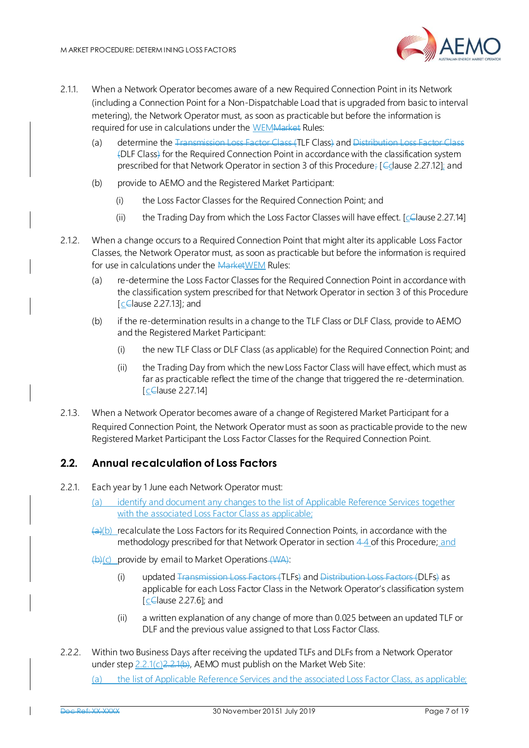

- 2.1.1. When a Network Operator becomes aware of a new Required Connection Point in its Network (including a Connection Point for a Non-Dispatchable Load that is upgraded from basic to interval metering), the Network Operator must, as soon as practicable but before the information is required for use in calculations under the WEMMarket Rules:
	- (a) determine the Transmission Loss Factor Class (TLF Class) and Distribution Loss Factor Class (DLF Class) for the Required Connection Point in accordance with the classification system prescribed for that Network Operator in section 3 of this Procedure; [C clause 2.27.12]; and
	- (b) provide to AEMO and the Registered Market Participant:
		- (i) the Loss Factor Classes for the Required Connection Point; and
		- (ii) the Trading Day from which the Loss Factor Classes will have effect.  $[cc]$  [celause 2.27.14]
- 2.1.2. When a change occurs to a Required Connection Point that might alter its applicable Loss Factor Classes, the Network Operator must, as soon as practicable but before the information is required for use in calculations under the MarketWEM Rules:
	- (a) re-determine the Loss Factor Classes for the Required Connection Point in accordance with the classification system prescribed for that Network Operator in section 3 of this Procedure  $[c$ Clause 2.27.13]; and
	- (b) if the re-determination results in a change to the TLF Class or DLF Class, provide to AEMO and the Registered Market Participant:
		- (i) the new TLF Class or DLF Class (as applicable) for the Required Connection Point; and
		- (ii) the Trading Day from which the new Loss Factor Class will have effect, which must as far as practicable reflect the time of the change that triggered the re-determination. [celause 2.27.14]
- 2.1.3. When a Network Operator becomes aware of a change of Registered Market Participant for a Required Connection Point, the Network Operator must as soon as practicable provide to the new Registered Market Participant the Loss Factor Classes for the Required Connection Point.

## <span id="page-6-0"></span>**2.2. Annual recalculation of Loss Factors**

- 2.2.1. Each year by 1 June each Network Operator must:
	- (a) identify and document any changes to the list of Applicable Reference Services together with the associated Loss Factor Class as applicable:
	- $(a)(b)$  recalculate the Loss Factors for its Required Connection Points, in accordance with the methodology prescribed for that Network Operator in section 44 of this Procedure; and
	- $(b)(c)$  provide by email to Market Operations  $(WA)$ :
		- (i) updated Transmission Loss Factors (TLFs) and Distribution Loss Factors (DLFs) as applicable for each Loss Factor Class in the Network Operator's classification system  $[c$ Clause 2.27.6]; and
		- (ii) a written explanation of any change of more than 0.025 between an updated TLF or DLF and the previous value assigned to that Loss Factor Class.
- 2.2.2. Within two Business Days after receiving the updated TLFs and DLFs from a Network Operator under step 2.2.1(c) 2.2.1(b), AEMO must publish on the Market Web Site:

(a) the list of Applicable Reference Services and the associated Loss Factor Class, as applicable;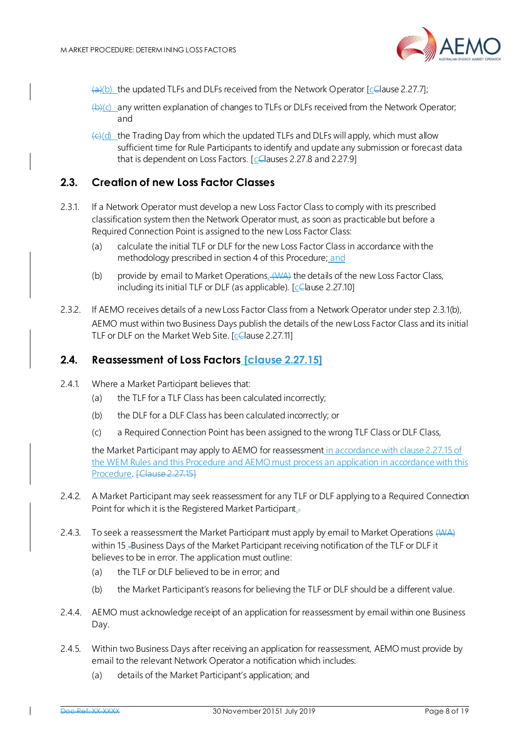

- $\left(\frac{a}{c}\right)$  the updated TLFs and DLFs received from the Network Operator [ $\frac{c}{c}$  ause 2.27.7];
- $\left(\frac{1}{2}\right)$ (c) any written explanation of changes to TLFs or DLFs received from the Network Operator; and
- $\left(\frac{c}{c}\right)$  the Trading Day from which the updated TLFs and DLFs will apply, which must allow sufficient time for Rule Participants to identify and update any submission or forecast data that is dependent on Loss Factors.  $[ $\subseteq$  \square$  auses 2.27.8 and 2.27.9]

## <span id="page-7-0"></span>**2.3. Creation of new Loss Factor Classes**

- 2.3.1. If a Network Operator must develop a new Loss Factor Class to comply with its prescribed classification system then the Network Operator must, as soon as practicable but before a Required Connection Point is assigned to the new Loss Factor Class:
	- (a) calculate the initial TLF or DLF for the new Loss Factor Class in accordance with the methodology prescribed in section 4 of this Procedure; and
	- (b) provide by email to Market Operations, (AAA) the details of the new Loss Factor Class, including its initial TLF or DLF (as applicable). [cClause 2.27.10]
- 2.3.2. If AEMO receives details of a new Loss Factor Class from a Network Operator under step 2.3.1(b), AEMO must within two Business Days publish the details of the new Loss Factor Class and its initial TLF or DLF on the Market Web Site. [celause 2.27.11]

## <span id="page-7-1"></span>**2.4. Reassessment of Loss Factors [clause 2.27.15]**

- 2.4.1. Where a Market Participant believes that:
	- (a) the TLF for a TLF Class has been calculated incorrectly;
	- (b) the DLF for a DLF Class has been calculated incorrectly; or
	- (c) a Required Connection Point has been assigned to the wrong TLF Class or DLF Class,

the Market Participant may apply to AEMO for reassessment in accordance with clause 2.27.15 of the WEM Rules and this Procedure and AEMO must process an application in accordance with this Procedure. [Clause 2.27.15]

- 2.4.2. A Market Participant may seek reassessment for any TLF or DLF applying to a Required Connection Point for which it is the Registered Market Participant.
- 2.4.3. To seek a reassessment the Market Participant must apply by email to Market Operations (VVA) within 15\_Business Days of the Market Participant receiving notification of the TLF or DLF it believes to be in error. The application must outline:
	- (a) the TLF or DLF believed to be in error; and
	- (b) the Market Participant's reasons for believing the TLF or DLF should be a different value.
- 2.4.4. AEMO must acknowledge receipt of an application for reassessment by email within one Business Day.
- 2.4.5. Within two Business Days after receiving an application for reassessment, AEMO must provide by email to the relevant Network Operator a notification which includes:
	- (a) details of the Market Participant's application; and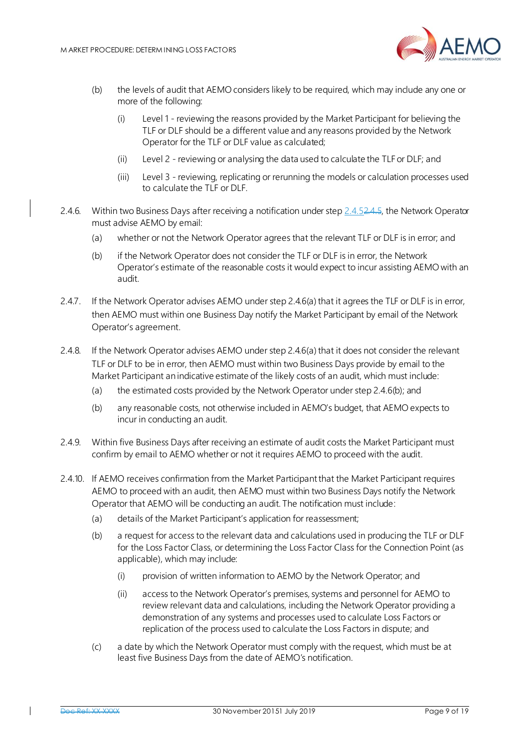

- (b) the levels of audit that AEMO considers likely to be required, which may include any one or more of the following:
	- (i) Level 1 reviewing the reasons provided by the Market Participant for believing the TLF or DLF should be a different value and any reasons provided by the Network Operator for the TLF or DLF value as calculated;
	- (ii) Level 2 reviewing or analysing the data used to calculate the TLF or DLF; and
	- (iii) Level 3 reviewing, replicating or rerunning the models or calculation processes used to calculate the TLF or DLF.
- 2.4.6. Within two Business Days after receiving a notification under step 2.4.52.4.5, the Network Operator must advise AEMO by email:
	- (a) whether or not the Network Operator agrees that the relevant TLF or DLF is in error; and
	- (b) if the Network Operator does not consider the TLF or DLF is in error, the Network Operator's estimate of the reasonable costs it would expect to incur assisting AEMO with an audit.
- 2.4.7. If the Network Operator advises AEMO under step 2.4.6(a) that it agrees the TLF or DLF is in error, then AEMO must within one Business Day notify the Market Participant by email of the Network Operator's agreement.
- 2.4.8. If the Network Operator advises AEMO under step 2.4.6(a) that it does not consider the relevant TLF or DLF to be in error, then AEMO must within two Business Days provide by email to the Market Participant an indicative estimate of the likely costs of an audit, which must include:
	- (a) the estimated costs provided by the Network Operator under step 2.4.6(b); and
	- (b) any reasonable costs, not otherwise included in AEMO's budget, that AEMO expects to incur in conducting an audit.
- 2.4.9. Within five Business Days after receiving an estimate of audit costs the Market Participant must confirm by email to AEMO whether or not it requires AEMO to proceed with the audit.
- <span id="page-8-1"></span><span id="page-8-0"></span>2.4.10. If AEMO receives confirmation from the Market Participant that the Market Participant requires AEMO to proceed with an audit, then AEMO must within two Business Days notify the Network Operator that AEMO will be conducting an audit. The notification must include:
	- (a) details of the Market Participant's application for reassessment;
	- (b) a request for access to the relevant data and calculations used in producing the TLF or DLF for the Loss Factor Class, or determining the Loss Factor Class for the Connection Point (as applicable), which may include:
		- (i) provision of written information to AEMO by the Network Operator; and
		- (ii) access to the Network Operator's premises, systems and personnel for AEMO to review relevant data and calculations, including the Network Operator providing a demonstration of any systems and processes used to calculate Loss Factors or replication of the process used to calculate the Loss Factors in dispute; and
	- (c) a date by which the Network Operator must comply with the request, which must be at least five Business Days from the date of AEMO's notification.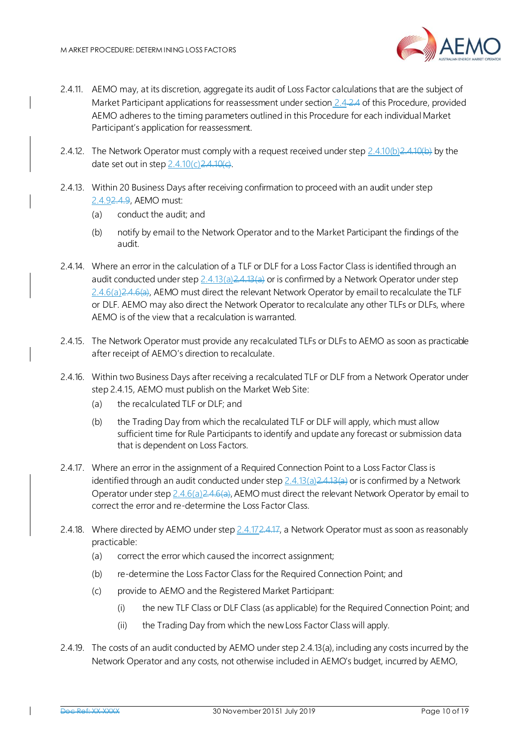

- 2.4.11. AEMO may, at its discretion, aggregate its audit of Loss Factor calculations that are the subject of Market Participant applications for reassessment under section 2.4-2.4 of this Procedure, provided AEMO adheres to the timing parameters outlined in this Procedure for each individual Market Participant's application for reassessment.
- 2.4.12. The Network Operator must comply with a request received under step  $2.4.10(b)2.4.10(b)$  $2.4.10(b)2.4.10(b)$  by the date set out in step  $2.4.10(c)2.4.10(e)$ .
- 2.4.13. Within 20 Business Days after receiving confirmation to proceed with an audit under step 2.4.92.4.9, AEMO must:
	- (a) conduct the audit; and
	- (b) notify by email to the Network Operator and to the Market Participant the findings of the audit.
- 2.4.14. Where an error in the calculation of a TLF or DLF for a Loss Factor Class is identified through an audit conducted under step  $2.4.13(a)2.4.13(a)$  or is confirmed by a Network Operator under step 2.4.6(a)2.4.6(a), AEMO must direct the relevant Network Operator by email to recalculate the TLF or DLF. AEMO may also direct the Network Operator to recalculate any other TLFs or DLFs, where AEMO is of the view that a recalculation is warranted.
- 2.4.15. The Network Operator must provide any recalculated TLFs or DLFs to AEMO as soon as practicable after receipt of AEMO's direction to recalculate.
- 2.4.16. Within two Business Days after receiving a recalculated TLF or DLF from a Network Operator under step 2.4.15, AEMO must publish on the Market Web Site:
	- (a) the recalculated TLF or DLF; and
	- (b) the Trading Day from which the recalculated TLF or DLF will apply, which must allow sufficient time for Rule Participants to identify and update any forecast or submission data that is dependent on Loss Factors.
- 2.4.17. Where an error in the assignment of a Required Connection Point to a Loss Factor Class is identified through an audit conducted under step 2.4.13(a) 2.4.13(a) or is confirmed by a Network Operator under step 2.4.6(a) 2.4.6(a), AEMO must direct the relevant Network Operator by email to correct the error and re-determine the Loss Factor Class.
- 2.4.18. Where directed by AEMO under step 2.4.172.4.17, a Network Operator must as soon as reasonably practicable:
	- (a) correct the error which caused the incorrect assignment;
	- (b) re-determine the Loss Factor Class for the Required Connection Point; and
	- (c) provide to AEMO and the Registered Market Participant:
		- (i) the new TLF Class or DLF Class (as applicable) for the Required Connection Point; and
		- (ii) the Trading Day from which the new Loss Factor Class will apply.
- 2.4.19. The costs of an audit conducted by AEMO under step 2.4.13(a), including any costs incurred by the Network Operator and any costs, not otherwise included in AEMO's budget, incurred by AEMO,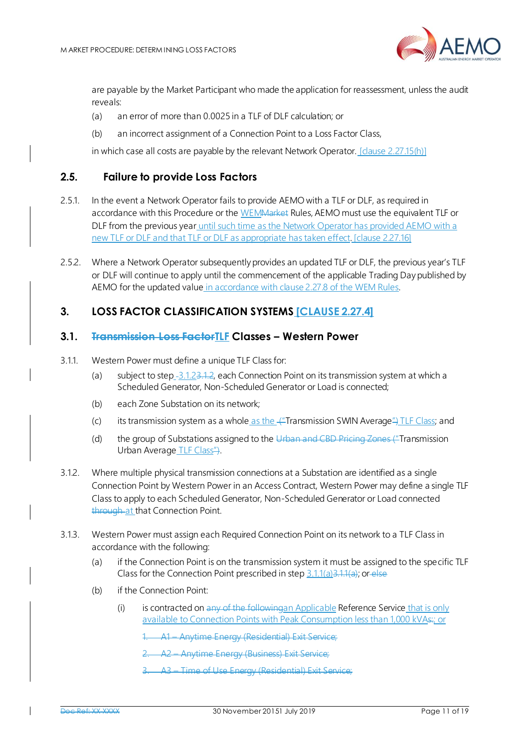

are payable by the Market Participant who made the application for reassessment, unless the audit reveals:

- (a) an error of more than 0.0025 in a TLF of DLF calculation; or
- (b) an incorrect assignment of a Connection Point to a Loss Factor Class,

in which case all costs are payable by the relevant Network Operator. [clause 2.27.15(h)]

#### <span id="page-10-0"></span>**2.5. Failure to provide Loss Factors**

- 2.5.1. In the event a Network Operator fails to provide AEMO with a TLF or DLF, as required in accordance with this Procedure or the WEMMarket Rules, AEMO must use the equivalent TLF or DLF from the previous year until such time as the Network Operator has provided AEMO with a new TLF or DLF and that TLF or DLF as appropriate has taken effect. [clause 2.27.16]
- 2.5.2. Where a Network Operator subsequently provides an updated TLF or DLF, the previous year's TLF or DLF will continue to apply until the commencement of the applicable Trading Day published by AEMO for the updated value in accordance with clause 2.27.8 of the WEM Rules.

## <span id="page-10-1"></span>**3. LOSS FACTOR CLASSIFICATION SYSTEMS [CLAUSE 2.27.4]**

#### <span id="page-10-2"></span>**3.1. Transmission Loss FactorTLF Classes – Western Power**

- <span id="page-10-6"></span><span id="page-10-3"></span>3.1.1. Western Power must define a unique TLF Class for:
	- (a) subject to step -3.1.23.1.2, each Connection Point on its transmission system at which a Scheduled Generator, Non-Scheduled Generator or Load is connected;
	- (b) each Zone Substation on its network;
	- (c) its transmission system as a whole as the  $\frac{1}{2}$ Transmission SWIN Average  $\frac{1}{2}$  TLF Class; and
	- (d) the group of Substations assigned to the Urban and CBD Pricing Zones ("Transmission") Urban Average TLF Class").
- <span id="page-10-5"></span><span id="page-10-4"></span>3.1.2. Where multiple physical transmission connections at a Substation are identified as a single Connection Point by Western Power in an Access Contract, Western Power may define a single TLF Class to apply to each Scheduled Generator, Non-Scheduled Generator or Load connected through at that Connection Point.
- <span id="page-10-7"></span>3.1.3. Western Power must assign each Required Connection Point on its network to a TLF Class in accordance with the following:
	- (a) if the Connection Point is on the transmission system it must be assigned to the specific TLF Class for the Connection Point prescribed in step  $3.1.1(a)3.1.1(a)$  $3.1.1(a)3.1.1(a)$ ; or else
	- (b) if the Connection Point:
		- (i) is contracted on any of the followingan Applicable Reference Service that is only available to Connection Points with Peak Consumption less than 1,000 kVAs:; or
			- 1. A1 Anytime Energy (Residential) Exit Service;
			- 2. A2 Anytime Energy (Business) Exit Service;
			- 3. A3 Time of Use Energy (Residential) Exit Service;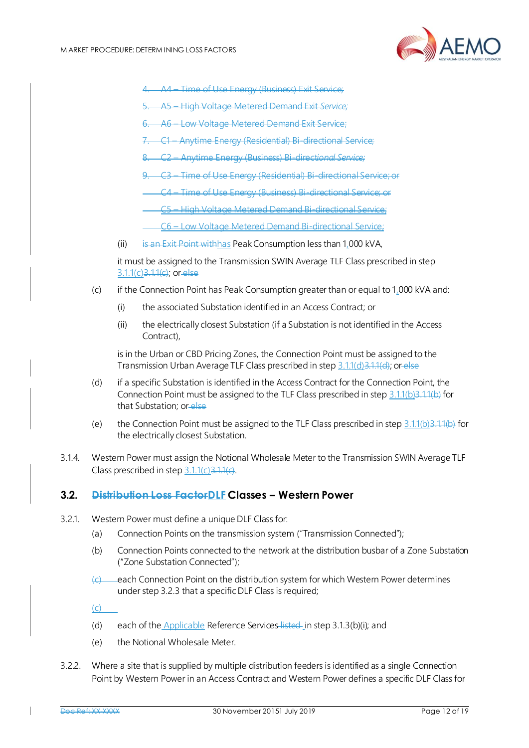

- Time of Use Energy (Business) Exit Service;
- 5. A5 High Voltage Metered Demand Exit *Service;*
- 6. A6 Low Voltage Metered Demand Exit Service;
- 7. C1 Anytime Energy (Residential) Bi-directional Service;
- 8. C2 Anytime Energy (Business) Bi-direct*ional Service;*
- 9. C3 Time of Use Energy (Residential) Bi-directional Service; or
- C4 Time of Use Energy (Business) Bi-directional Service; or
- C5 High Voltage Metered Demand Bi-directional Service;
- C6 Low Voltage Metered Demand Bi-directional Service;
- (ii) is an Exit Point withhas Peak Consumption less than 1,000 kVA,

it must be assigned to the Transmission SWIN Average TLF Class prescribed in step 3.1.1([c\)3.1.1\(c\)](#page-10-4); or else

- (c) if the Connection Point has Peak Consumption greater than or equal to 1,000 kVA and:
	- (i) the associated Substation identified in an Access Contract; or
	- (ii) the electrically closest Substation (if a Substation is not identified in the Access Contract),

is in the Urban or CBD Pricing Zones, the Connection Point must be assigned to the Transmission Urban Average TLF Class prescribed in step 3.1.1([d\)3.1.1\(d\)](#page-10-5); or else

- (d) if a specific Substation is identified in the Access Contract for the Connection Point, the Connection Point must be assigned to the TLF Class prescribed in step  $3.1.1(b)3.1.1(b)$  $3.1.1(b)3.1.1(b)$  for that Substation; or else
- (e) the Connection Point must be assigned to the TLF Class prescribed in step  $3.1.1(b)3.1.1(b)$  $3.1.1(b)3.1.1(b)$  for the electrically closest Substation.
- 3.1.4. Western Power must assign the Notional Wholesale Meter to the Transmission SWIN Average TLF Class prescribed in step  $3.1.1(c)3.1.1(c)$  $3.1.1(c)3.1.1(c)$ .

#### <span id="page-11-0"></span>**3.2. Distribution Loss FactorDLF Classes – Western Power**

- 3.2.1. Western Power must define a unique DLF Class for:
	- (a) Connection Points on the transmission system ("Transmission Connected");
	- (b) Connection Points connected to the network at the distribution busbar of a Zone Substation ("Zone Substation Connected");
	- each Connection Point on the distribution system for which Western Power determines under step 3.2.3 that a specific DLF Class is required;

(c)

- (d) each of the Applicable Reference Services-listed-in step 3.1.3(b)(i); and
- (e) the Notional Wholesale Meter.
- 3.2.2. Where a site that is supplied by multiple distribution feeders is identified as a single Connection Point by Western Power in an Access Contract and Western Power defines a specific DLF Class for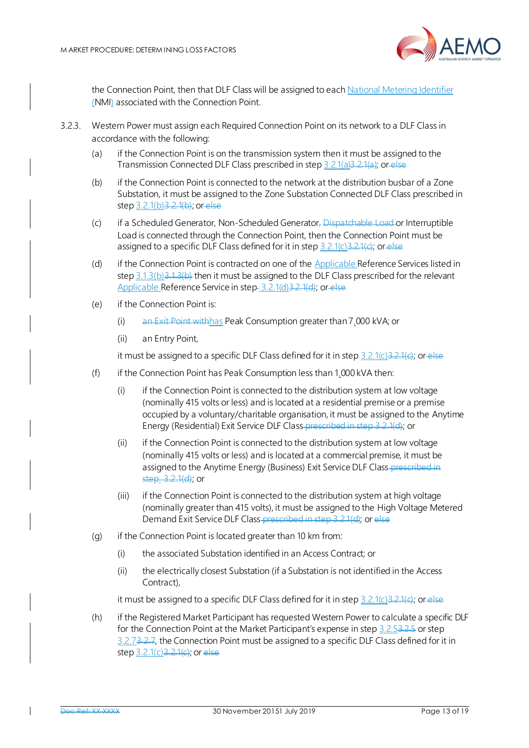

the Connection Point, then that DLF Class will be assigned to each National Metering Identifier (NMI) associated with the Connection Point.

- 3.2.3. Western Power must assign each Required Connection Point on its network to a DLF Class in accordance with the following:
	- (a) if the Connection Point is on the transmission system then it must be assigned to the Transmission Connected DLF Class prescribed in step 3.2.1(a)3.2.1(a); or else
	- (b) if the Connection Point is connected to the network at the distribution busbar of a Zone Substation, it must be assigned to the Zone Substation Connected DLF Class prescribed in step 3.2.1(b) 3.2.1(b); or else
	- (c) if a Scheduled Generator, Non-Scheduled Generator, Dispatchable Load or Interruptible Load is connected through the Connection Point, then the Connection Point must be assigned to a specific DLF Class defined for it in step  $3.2.1(c)$  $3.2.1(c)$ ; or else
	- (d) if the Connection Point is contracted on one of the Applicable Reference Services listed in step  $3.1.3$ (b) $3.1.3$ (b) then it must be assigned to the DLF Class prescribed for the relevant Applicable Reference Service in step 3.2.1(d) 3.2.1(d); or else
	- (e) if the Connection Point is:
		- (i) an Exit Point withhas Peak Consumption greater than 7,000 kVA; or
		- (ii) an Entry Point,

it must be assigned to a specific DLF Class defined for it in step  $3.2.1(c)3.2.1(c)$ ; or else

- (f) if the Connection Point has Peak Consumption less than  $1,000$  kVA then:
	- (i) if the Connection Point is connected to the distribution system at low voltage (nominally 415 volts or less) and is located at a residential premise or a premise occupied by a voluntary/charitable organisation, it must be assigned to the Anytime Energy (Residential) Exit Service DLF Class-prescribed in step 3.2.1(d); or
	- (ii) if the Connection Point is connected to the distribution system at low voltage (nominally 415 volts or less) and is located at a commercial premise, it must be assigned to the Anytime Energy (Business) Exit Service DLF Class-prescribed in step\_3.2.1(d); or
	- (iii) if the Connection Point is connected to the distribution system at high voltage (nominally greater than 415 volts), it must be assigned to the High Voltage Metered Demand Exit Service DLF Class-prescribed in step 3.2.1(d); or else
- (g) if the Connection Point is located greater than 10 km from:
	- (i) the associated Substation identified in an Access Contract; or
	- (ii) the electrically closest Substation (if a Substation is not identified in the Access Contract),

it must be assigned to a specific DLF Class defined for it in step  $3.2.1(c)3.2.1(c)$ ; or else

(h) if the Registered Market Participant has requested Western Power to calculate a specific DLF for the Connection Point at the Market Participant's expense in step 3.2[.53.2.5](#page-13-2) or step 3.2.73.2.7, the Connection Point must be assigned to a specific DLF Class defined for it in step 3.2.1(c) 3.2.1(e); or else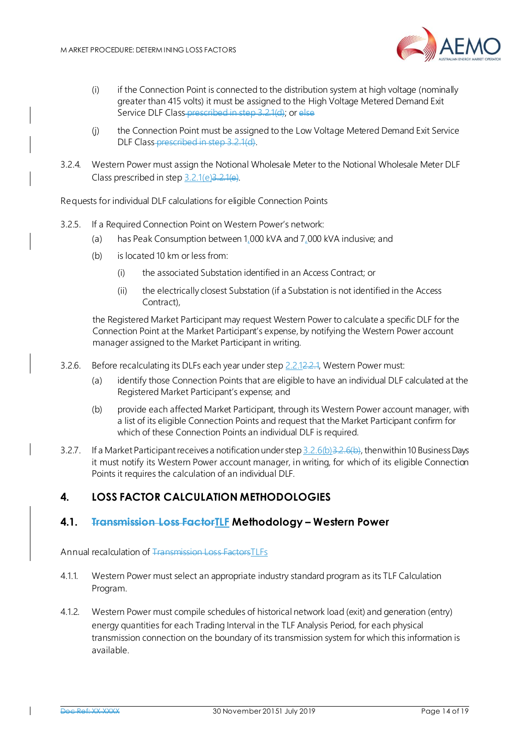

- (i) if the Connection Point is connected to the distribution system at high voltage (nominally greater than 415 volts) it must be assigned to the High Voltage Metered Demand Exit Service DLF Class prescribed in step 3.2.1(d); or else
- (j) the Connection Point must be assigned to the Low Voltage Metered Demand Exit Service DLF Class prescribed in step 3.2.1(d).
- 3.2.4. Western Power must assign the Notional Wholesale Meter to the Notional Wholesale Meter DLF Class prescribed in step  $3.2.1(e)3.2.1(e)$ .

Requests for individual DLF calculations for eligible Connection Points

- <span id="page-13-2"></span>3.2.5. If a Required Connection Point on Western Power's network:
	- (a) has Peak Consumption between 1,000 kVA and 7,000 kVA inclusive; and
	- (b) is located 10 km or less from:
		- (i) the associated Substation identified in an Access Contract; or
		- (ii) the electrically closest Substation (if a Substation is not identified in the Access Contract),

the Registered Market Participant may request Western Power to calculate a specific DLF for the Connection Point at the Market Participant's expense, by notifying the Western Power account manager assigned to the Market Participant in writing.

- <span id="page-13-3"></span>3.2.6. Before recalculating its DLFs each year under step 2.2.12.2.1, Western Power must:
	- (a) identify those Connection Points that are eligible to have an individual DLF calculated at the Registered Market Participant's expense; and
	- (b) provide each affected Market Participant, through its Western Power account manager, with a list of its eligible Connection Points and request that the Market Participant confirm for which of these Connection Points an individual DLF is required.
- 3.2.7. If a Market Participant receives a notification under step 3.2.6(b) 3.2.6(b), then within 10 Business Days it must notify its Western Power account manager, in writing, for which of its eligible Connection Points it requires the calculation of an individual DLF.

# <span id="page-13-0"></span>**4. LOSS FACTOR CALCULATION METHODOLOGIES**

## <span id="page-13-1"></span>**4.1. Transmission Loss FactorTLF Methodology – Western Power**

Annual recalculation of Transmission Loss FactorsTLFs

- 4.1.1. Western Power must select an appropriate industry standard program as its TLF Calculation Program.
- 4.1.2. Western Power must compile schedules of historical network load (exit) and generation (entry) energy quantities for each Trading Interval in the TLF Analysis Period, for each physical transmission connection on the boundary of its transmission system for which this information is available.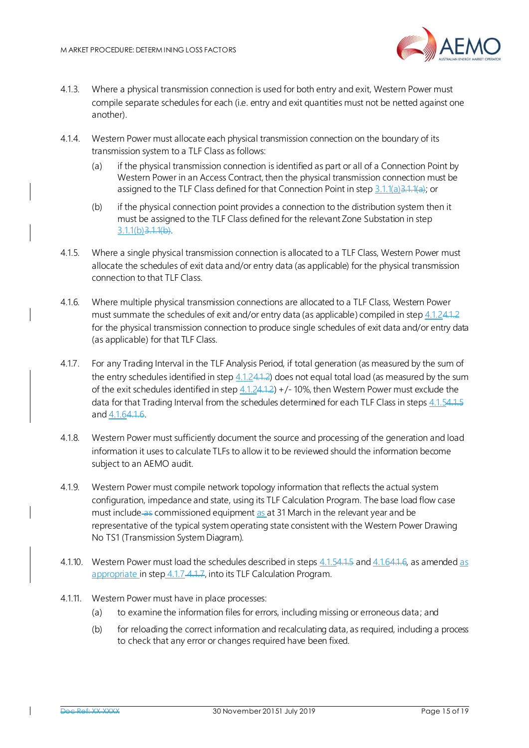

- 4.1.3. Where a physical transmission connection is used for both entry and exit, Western Power must compile separate schedules for each (i.e. entry and exit quantities must not be netted against one another).
- 4.1.4. Western Power must allocate each physical transmission connection on the boundary of its transmission system to a TLF Class as follows:
	- (a) if the physical transmission connection is identified as part or all of a Connection Point by Western Power in an Access Contract, then the physical transmission connection must be assigned to the TLF Class defined for that Connection Point in step  $3.1.1(a)3.1.1(a)$  $3.1.1(a)3.1.1(a)$ ; or
	- (b) if the physical connection point provides a connection to the distribution system then it must be assigned to the TLF Class defined for the relevant Zone Substation in step 3.1.1([b\)3.1.1\(b\)](#page-10-6).
- 4.1.5. Where a single physical transmission connection is allocated to a TLF Class, Western Power must allocate the schedules of exit data and/or entry data (as applicable) for the physical transmission connection to that TLF Class.
- 4.1.6. Where multiple physical transmission connections are allocated to a TLF Class, Western Power must summate the schedules of exit and/or entry data (as applicable) compiled in step 4.1.24.1.2 for the physical transmission connection to produce single schedules of exit data and/or entry data (as applicable) for that TLF Class.
- <span id="page-14-0"></span>4.1.7. For any Trading Interval in the TLF Analysis Period, if total generation (as measured by the sum of the entry schedules identified in step  $4.1.24.1.2$ ) does not equal total load (as measured by the sum of the exit schedules identified in step  $4.1.24.1.2$ ) +/-10%, then Western Power must exclude the data for that Trading Interval from the schedules determined for each TLF Class in steps 4.1.54.1.5 and 4.1.64.1.6.
- 4.1.8. Western Power must sufficiently document the source and processing of the generation and load information it uses to calculate TLFs to allow it to be reviewed should the information become subject to an AEMO audit.
- 4.1.9. Western Power must compile network topology information that reflects the actual system configuration, impedance and state, using its TLF Calculation Program. The base load flow case must include as commissioned equipment as at 31 March in the relevant year and be representative of the typical system operating state consistent with the Western Power Drawing No TS1 (Transmission System Diagram).
- 4.1.10. Western Power must load the schedules described in steps 4.1.54.1.5 and 4.1.64.1.6, as amended as appropriate in step [4.1.7](#page-14-0)-4.1.7, into its TLF Calculation Program.
- 4.1.11. Western Power must have in place processes:
	- (a) to examine the information files for errors, including missing or erroneous data; and
	- (b) for reloading the correct information and recalculating data, as required, including a process to check that any error or changes required have been fixed.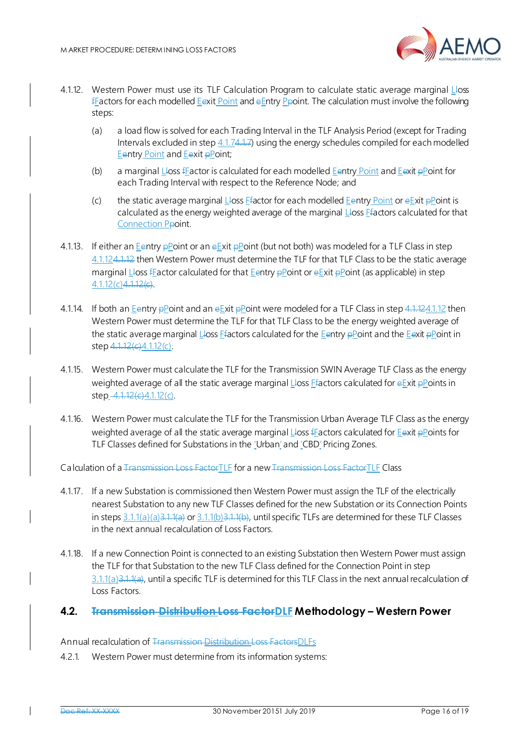

- <span id="page-15-1"></span>4.1.12. Western Power must use its TLF Calculation Program to calculate static average marginal Lloss fFactors for each modelled Eexit Point and eEntry Ppoint. The calculation must involve the following steps:
	- (a) a load flow is solved for each Trading Interval in the TLF Analysis Period (except for Trading Intervals excluded in step 4.1[.74.1.7](#page-14-0)) using the energy schedules compiled for each modelled Eentry Point and Eexit pPoint;
	- (b) a marginal Lloss fFactor is calculated for each modelled Eentry Point and Eexit  $p$ Point for each Trading Interval with respect to the Reference Node; and
	- (c) the static average marginal Lloss Ffactor for each modelled Eentry Point or  $eE$ xit  $p$ Point is calculated as the energy weighted average of the marginal  $L$ loss  $E$ factors calculated for that Connection Ppoint.
- <span id="page-15-2"></span>4.1.13. If either an Eentry pPoint or an eExit pPoint (but not both) was modeled for a TLF Class in step 4.1.1[24.1.12](#page-15-1) then Western Power must determine the TLF for that TLF Class to be the static average marginal Lloss fFactor calculated for that Eentry  $\frac{\partial P}{\partial x}$  oint or  $\frac{\partial P}{\partial y}$  and  $\frac{\partial P}{\partial x}$  applicable) in step  $4.1.12(c)4.1.12(c)$  $4.1.12(c)4.1.12(c)$ .
- 4.1.14. If both an Eentry pPoint and an eExit pPoint were modeled for a TLF Class in ste[p 4.1.12](#page-15-1)4.1.12 then Western Power must determine the TLF for that TLF Class to be the energy weighted average of the static average marginal Lloss Ffactors calculated for the Eentry pPoint and the Eexit pPoint in step  $4.1.12(c)4.1.12(c)$ .
- 4.1.15. Western Power must calculate the TLF for the Transmission SWIN Average TLF Class as the energy weighted average of all the static average marginal Lloss Efactors calculated for eExit pPoints in step\_[4.1.12\(c\)](#page-15-2)4.1.12(c).
- 4.1.16. Western Power must calculate the TLF for the Transmission Urban Average TLF Class as the energy weighted average of all the static average marginal Lloss f Eactors calculated for Eexit pPoints for TLF Classes defined for Substations in the 'Urban' and 'CBD' Pricing Zones.

Calculation of a Transmission Loss FactorTLF for a new Transmission Loss FactorTLF Class

- 4.1.17. If a new Substation is commissioned then Western Power must assign the TLF of the electrically nearest Substation to any new TLF Classes defined for the new Substation or its Connection Points in steps 3.1.1([a\)\(a\)3.1.1\(a\)](#page-10-3) or 3.1.1([b\)3.1.1\(b\)](#page-10-6), until specific TLFs are determined for these TLF Classes in the next annual recalculation of Loss Factors.
- 4.1.18. If a new Connection Point is connected to an existing Substation then Western Power must assign the TLF for that Substation to the new TLF Class defined for the Connection Point in step 3.1.1(a) 3.1.1(a), until a specific TLF is determined for this TLF Class in the next annual recalculation of Loss Factors.

#### <span id="page-15-0"></span>**4.2. Transmission Distribution Loss FactorDLF Methodology – Western Power**

Annual recalculation of Transmission Distribution Loss FactorsDLFs

4.2.1. Western Power must determine from its information systems: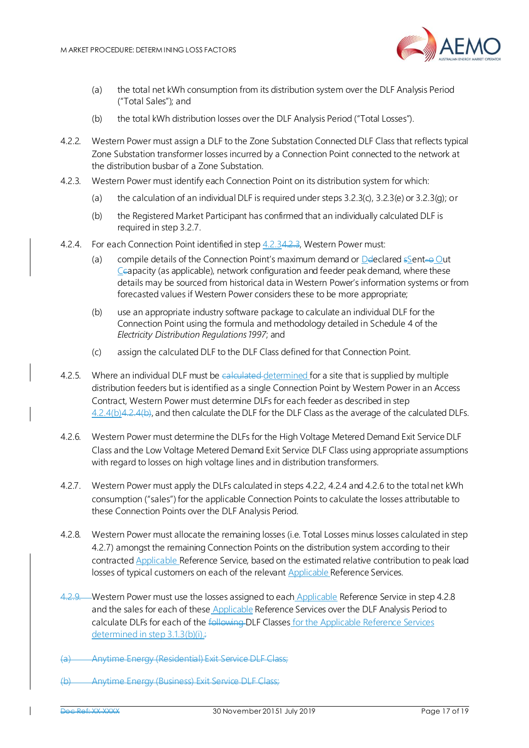

- (a) the total net kWh consumption from its distribution system over the DLF Analysis Period ("Total Sales"); and
- (b) the total kWh distribution losses over the DLF Analysis Period ("Total Losses").
- 4.2.2. Western Power must assign a DLF to the Zone Substation Connected DLF Class that reflects typical Zone Substation transformer losses incurred by a Connection Point connected to the network at the distribution busbar of a Zone Substation.
- <span id="page-16-0"></span>4.2.3. Western Power must identify each Connection Point on its distribution system for which:
	- (a) the calculation of an individual DLF is required under steps  $3.2.3(c)$ ,  $3.2.3(e)$  or  $3.2.3(q)$ ; or
	- (b) the Registered Market Participant has confirmed that an individually calculated DLF is required in step 3.2.7.
- 4.2.4. For each Connection Point identified in step 4.2.[34.2.3](#page-16-0), Western Power must:
	- (a) compile details of the Connection Point's maximum demand or  $D$  declared  $S$ ent-o Out Ccapacity (as applicable), network configuration and feeder peak demand, where these details may be sourced from historical data in Western Power's information systems or from forecasted values if Western Power considers these to be more appropriate;
	- (b) use an appropriate industry software package to calculate an individual DLF for the Connection Point using the formula and methodology detailed in Schedule 4 of the *Electricity Distribution Regulations 1997*; and
	- (c) assign the calculated DLF to the DLF Class defined for that Connection Point.
- <span id="page-16-1"></span>4.2.5. Where an individual DLF must be calculated determined for a site that is supplied by multiple distribution feeders but is identified as a single Connection Point by Western Power in an Access Contract, Western Power must determine DLFs for each feeder as described in step 4.2.4([b\)4.2.4\(b\)](#page-16-1), and then calculate the DLF for the DLF Class as the average of the calculated DLFs.
- 4.2.6. Western Power must determine the DLFs for the High Voltage Metered Demand Exit Service DLF Class and the Low Voltage Metered Demand Exit Service DLF Class using appropriate assumptions with regard to losses on high voltage lines and in distribution transformers.
- 4.2.7. Western Power must apply the DLFs calculated in steps 4.2.2, 4.2.4 and 4.2.6 to the total net kWh consumption ("sales") for the applicable Connection Points to calculate the losses attributable to these Connection Points over the DLF Analysis Period.
- 4.2.8. Western Power must allocate the remaining losses (i.e. Total Losses minus losses calculated in step 4.2.7) amongst the remaining Connection Points on the distribution system according to their contracted Applicable Reference Service, based on the estimated relative contribution to peak load losses of typical customers on each of the relevant Applicable Reference Services.
- 4.2.9. Western Power must use the losses assigned to each Applicable Reference Service in step 4.2.8 and the sales for each of these Applicable Reference Services over the DLF Analysis Period to calculate DLFs for each of the following DLF Classes for the Applicable Reference Services determined in step 3.1.3(b)(i).
- Anytime Energy (Residential) Exit Service DLF Class:
- (b) Anytime Energy (Business) Exit Service DLF Class;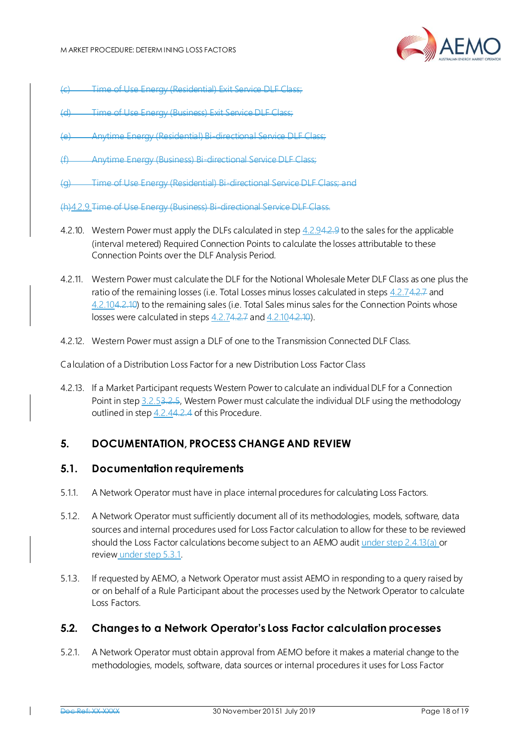

- Time of Use Energy (Residential) Exit Service DLF Class;
- Time of Use Energy (Business) Exit Service DLF Class;
- (e) Anytime Energy (Residential) Bi-directional Service DLF Class;
- Anytime Energy (Business) Bi-directional Service DLF Class:
- (g) Time of Use Energy (Residential) Bi-directional Service DLF Class; and

(h)4.2.9.Time of Use Energy (Business) Bi-directional Service DLF Class.

- 4.2.10. Western Power must apply the DLFs calculated in step 4.2.94.2.9 to the sales for the applicable (interval metered) Required Connection Points to calculate the losses attributable to these Connection Points over the DLF Analysis Period.
- 4.2.11. Western Power must calculate the DLF for the Notional Wholesale Meter DLF Class as one plus the ratio of the remaining losses (i.e. Total Losses minus losses calculated in steps 4.2.74.2.7 and 4.2.104.2.10) to the remaining sales (i.e. Total Sales minus sales for the Connection Points whose losses were calculated in steps 4.2.74.2.7 and 4.2.104.2.10).
- 4.2.12. Western Power must assign a DLF of one to the Transmission Connected DLF Class.

Calculation of a Distribution Loss Factor for a new Distribution Loss Factor Class

4.2.13. If a Market Participant requests Western Power to calculate an individual DLF for a Connection Point in step 3.2.[53.2.5](#page-13-2), Western Power must calculate the individual DLF using the methodology outlined in step 4.2.44.2.4 of this Procedure.

## <span id="page-17-0"></span>**5. DOCUMENTATION, PROCESS CHANGE AND REVIEW**

#### <span id="page-17-1"></span>**5.1. Documentation requirements**

- 5.1.1. A Network Operator must have in place internal procedures for calculating Loss Factors.
- 5.1.2. A Network Operator must sufficiently document all of its methodologies, models, software, data sources and internal procedures used for Loss Factor calculation to allow for these to be reviewed should the Loss Factor calculations become subject to an AEMO audit under step 2.4.13(a) or review under step 5.3.1.
- 5.1.3. If requested by AEMO, a Network Operator must assist AEMO in responding to a query raised by or on behalf of a Rule Participant about the processes used by the Network Operator to calculate Loss Factors.

## <span id="page-17-2"></span>**5.2. Changes to a Network Operator's Loss Factor calculation processes**

<span id="page-17-3"></span>5.2.1. A Network Operator must obtain approval from AEMO before it makes a material change to the methodologies, models, software, data sources or internal procedures it uses for Loss Factor